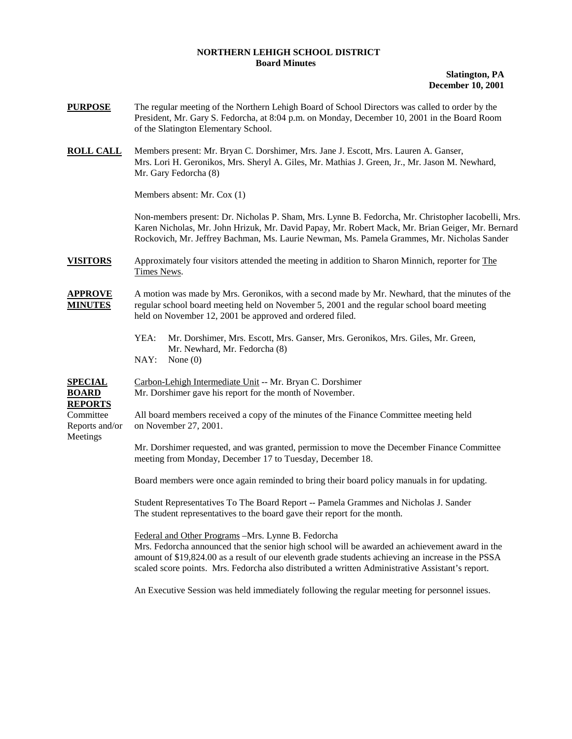## **NORTHERN LEHIGH SCHOOL DISTRICT Board Minutes**

**Slatington, PA December 10, 2001**

- **PURPOSE** The regular meeting of the Northern Lehigh Board of School Directors was called to order by the President, Mr. Gary S. Fedorcha, at 8:04 p.m. on Monday, December 10, 2001 in the Board Room of the Slatington Elementary School.
- **ROLL CALL** Members present: Mr. Bryan C. Dorshimer, Mrs. Jane J. Escott, Mrs. Lauren A. Ganser, Mrs. Lori H. Geronikos, Mrs. Sheryl A. Giles, Mr. Mathias J. Green, Jr., Mr. Jason M. Newhard, Mr. Gary Fedorcha (8)

Members absent: Mr. Cox (1)

Non-members present: Dr. Nicholas P. Sham, Mrs. Lynne B. Fedorcha, Mr. Christopher Iacobelli, Mrs. Karen Nicholas, Mr. John Hrizuk, Mr. David Papay, Mr. Robert Mack, Mr. Brian Geiger, Mr. Bernard Rockovich, Mr. Jeffrey Bachman, Ms. Laurie Newman, Ms. Pamela Grammes, Mr. Nicholas Sander

**VISITORS** Approximately four visitors attended the meeting in addition to Sharon Minnich, reporter for The Times News.

**APPROVE** A motion was made by Mrs. Geronikos, with a second made by Mr. Newhard, that the minutes of the **MINUTES** regular school board meeting held on November 5, 2001 and the regular school board meeting held on November 12, 2001 be approved and ordered filed.

- YEA: Mr. Dorshimer, Mrs. Escott, Mrs. Ganser, Mrs. Geronikos, Mrs. Giles, Mr. Green, Mr. Newhard, Mr. Fedorcha (8)
- NAY: None (0)

**SPECIAL** Carbon-Lehigh Intermediate Unit -- Mr. Bryan C. Dorshimer **BOARD** Mr. Dorshimer gave his report for the month of November.

**REPORTS**

Meetings

Committee All board members received a copy of the minutes of the Finance Committee meeting held Reports and/or on November 27, 2001.

> Mr. Dorshimer requested, and was granted, permission to move the December Finance Committee meeting from Monday, December 17 to Tuesday, December 18.

Board members were once again reminded to bring their board policy manuals in for updating.

Student Representatives To The Board Report -- Pamela Grammes and Nicholas J. Sander The student representatives to the board gave their report for the month.

Federal and Other Programs –Mrs. Lynne B. Fedorcha

Mrs. Fedorcha announced that the senior high school will be awarded an achievement award in the amount of \$19,824.00 as a result of our eleventh grade students achieving an increase in the PSSA scaled score points. Mrs. Fedorcha also distributed a written Administrative Assistant's report.

An Executive Session was held immediately following the regular meeting for personnel issues.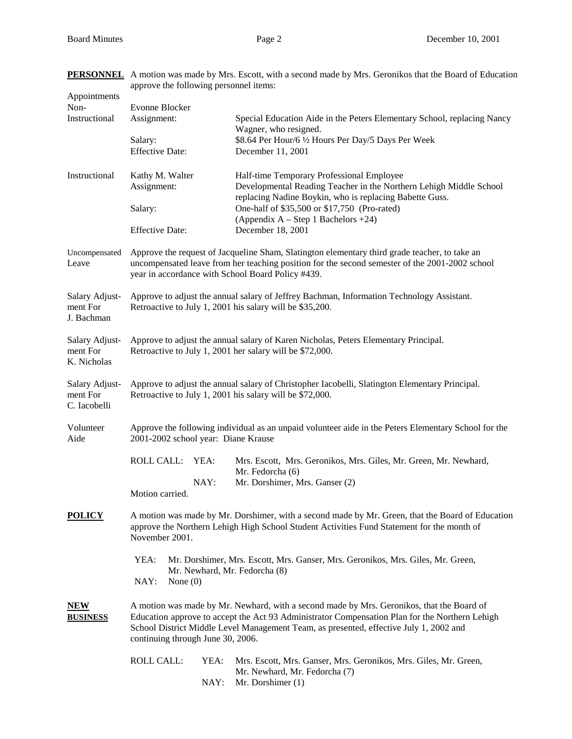**PERSONNEL** A motion was made by Mrs. Escott, with a second made by Mrs. Geronikos that the Board of Education

| Appointments                               | approve the following personnel items:                                                                                                                                                                                                                                                                                     |              |                                                                                                                                                                            |  |  |
|--------------------------------------------|----------------------------------------------------------------------------------------------------------------------------------------------------------------------------------------------------------------------------------------------------------------------------------------------------------------------------|--------------|----------------------------------------------------------------------------------------------------------------------------------------------------------------------------|--|--|
| Non-                                       | Evonne Blocker                                                                                                                                                                                                                                                                                                             |              |                                                                                                                                                                            |  |  |
| Instructional                              | Assignment:                                                                                                                                                                                                                                                                                                                |              | Special Education Aide in the Peters Elementary School, replacing Nancy<br>Wagner, who resigned.                                                                           |  |  |
|                                            | Salary:<br><b>Effective Date:</b>                                                                                                                                                                                                                                                                                          |              | \$8.64 Per Hour/6 1/2 Hours Per Day/5 Days Per Week<br>December 11, 2001                                                                                                   |  |  |
| Instructional                              | Kathy M. Walter<br>Assignment:                                                                                                                                                                                                                                                                                             |              | Half-time Temporary Professional Employee<br>Developmental Reading Teacher in the Northern Lehigh Middle School<br>replacing Nadine Boykin, who is replacing Babette Guss. |  |  |
|                                            | Salary:                                                                                                                                                                                                                                                                                                                    |              | One-half of \$35,500 or \$17,750 (Pro-rated)<br>(Appendix $A - Step 1 Bachelors +24$ )                                                                                     |  |  |
|                                            | <b>Effective Date:</b>                                                                                                                                                                                                                                                                                                     |              | December 18, 2001                                                                                                                                                          |  |  |
| Uncompensated<br>Leave                     | Approve the request of Jacqueline Sham, Slatington elementary third grade teacher, to take an<br>uncompensated leave from her teaching position for the second semester of the 2001-2002 school<br>year in accordance with School Board Policy #439.                                                                       |              |                                                                                                                                                                            |  |  |
| Salary Adjust-<br>ment For<br>J. Bachman   | Approve to adjust the annual salary of Jeffrey Bachman, Information Technology Assistant.<br>Retroactive to July 1, 2001 his salary will be \$35,200.                                                                                                                                                                      |              |                                                                                                                                                                            |  |  |
| Salary Adjust-<br>ment For<br>K. Nicholas  | Approve to adjust the annual salary of Karen Nicholas, Peters Elementary Principal.<br>Retroactive to July 1, 2001 her salary will be \$72,000.                                                                                                                                                                            |              |                                                                                                                                                                            |  |  |
| Salary Adjust-<br>ment For<br>C. Iacobelli | Approve to adjust the annual salary of Christopher Iacobelli, Slatington Elementary Principal.<br>Retroactive to July 1, 2001 his salary will be \$72,000.                                                                                                                                                                 |              |                                                                                                                                                                            |  |  |
| Volunteer<br>Aide                          | Approve the following individual as an unpaid volunteer aide in the Peters Elementary School for the<br>2001-2002 school year: Diane Krause                                                                                                                                                                                |              |                                                                                                                                                                            |  |  |
|                                            | <b>ROLL CALL:</b>                                                                                                                                                                                                                                                                                                          | YEA:<br>NAY: | Mrs. Escott, Mrs. Geronikos, Mrs. Giles, Mr. Green, Mr. Newhard,<br>Mr. Fedorcha (6)<br>Mr. Dorshimer, Mrs. Ganser (2)                                                     |  |  |
|                                            | Motion carried.                                                                                                                                                                                                                                                                                                            |              |                                                                                                                                                                            |  |  |
| <b>POLICY</b>                              | A motion was made by Mr. Dorshimer, with a second made by Mr. Green, that the Board of Education<br>approve the Northern Lehigh High School Student Activities Fund Statement for the month of<br>November 2001.                                                                                                           |              |                                                                                                                                                                            |  |  |
|                                            | YEA:<br>Mr. Dorshimer, Mrs. Escott, Mrs. Ganser, Mrs. Geronikos, Mrs. Giles, Mr. Green,<br>Mr. Newhard, Mr. Fedorcha (8)<br>NAY:<br>None $(0)$                                                                                                                                                                             |              |                                                                                                                                                                            |  |  |
| <b>NEW</b><br><b>BUSINESS</b>              | A motion was made by Mr. Newhard, with a second made by Mrs. Geronikos, that the Board of<br>Education approve to accept the Act 93 Administrator Compensation Plan for the Northern Lehigh<br>School District Middle Level Management Team, as presented, effective July 1, 2002 and<br>continuing through June 30, 2006. |              |                                                                                                                                                                            |  |  |
|                                            | <b>ROLL CALL:</b>                                                                                                                                                                                                                                                                                                          | YEA:<br>NAY: | Mrs. Escott, Mrs. Ganser, Mrs. Geronikos, Mrs. Giles, Mr. Green,<br>Mr. Newhard, Mr. Fedorcha (7)<br>Mr. Dorshimer (1)                                                     |  |  |